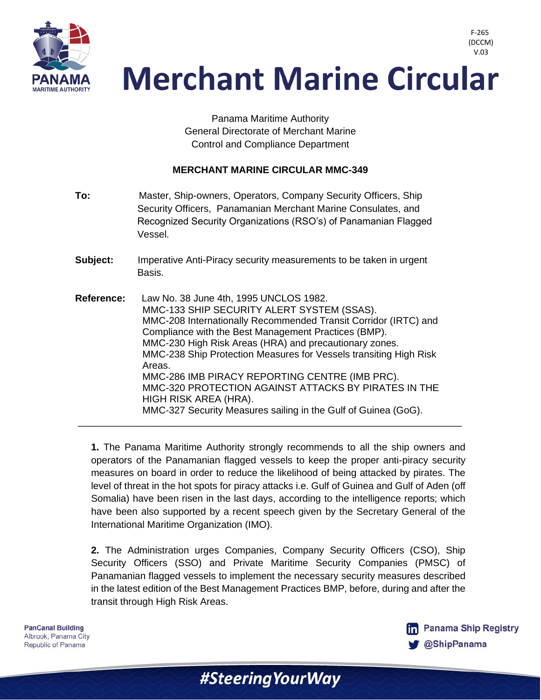

 V.03**Merchant Marine Circular** 

> Panama Maritime Authority General Directorate of Merchant Marine Control and Compliance Department

### **MERCHANT MARINE CIRCULAR MMC-349**

**To:** Master, Ship-owners, Operators, Company Security Officers, Ship Security Officers, Panamanian Merchant Marine Consulates, and Recognized Security Organizations (RSO's) of Panamanian Flagged Vessel. **Subject:** Imperative Anti-Piracy security measurements to be taken in urgent Basis. **Reference:** Law No. 38 June 4th, 1995 UNCLOS 1982. MMC-133 SHIP SECURITY ALERT SYSTEM (SSAS). MMC-208 Internationally Recommended Transit Corridor (IRTC) and Compliance with the Best Management Practices (BMP). MMC-230 High Risk Areas (HRA) and precautionary zones. MMC-238 Ship Protection Measures for Vessels transiting High Risk Areas. MMC-286 IMB PIRACY REPORTING CENTRE (IMB PRC). MMC-320 PROTECTION AGAINST ATTACKS BY PIRATES IN THE HIGH RISK AREA (HRA). MMC-327 Security Measures sailing in the Gulf of Guinea (GoG). \_\_\_\_\_\_\_\_\_\_\_\_\_\_\_\_\_\_\_\_\_\_\_\_\_\_\_\_\_\_\_\_\_\_\_\_\_\_\_\_\_\_\_\_\_\_\_\_\_\_\_\_\_\_\_\_\_\_\_\_\_\_\_\_\_\_\_\_\_\_\_

**1.** The Panama Maritime Authority strongly recommends to all the ship owners and operators of the Panamanian flagged vessels to keep the proper anti-piracy security measures on board in order to reduce the likelihood of being attacked by pirates. The level of threat in the hot spots for piracy attacks i.e. Gulf of Guinea and Gulf of Aden (off Somalia) have been risen in the last days, according to the intelligence reports; which have been also supported by a recent speech given by the Secretary General of the International Maritime Organization (IMO).

**2.** The Administration urges Companies, Company Security Officers (CSO), Ship Security Officers (SSO) and Private Maritime Security Companies (PMSC) of Panamanian flagged vessels to implement the necessary security measures described in the latest edition of the Best Management Practices BMP, before, during and after the transit through High Risk Areas.

#Steering Your Way

**PanCanal Building** Albrook, Panama City Republic of Panama



F-265 (DCCM)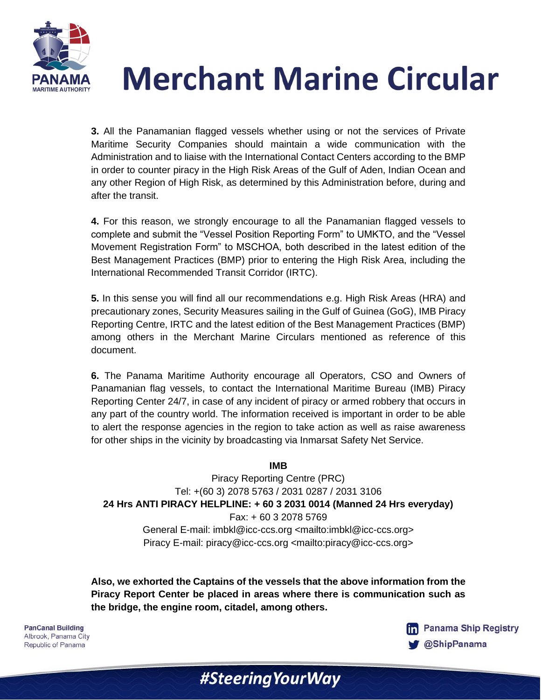

# **Merchant Marine Circular**

**3.** All the Panamanian flagged vessels whether using or not the services of Private Maritime Security Companies should maintain a wide communication with the Administration and to liaise with the International Contact Centers according to the BMP in order to counter piracy in the High Risk Areas of the Gulf of Aden, Indian Ocean and any other Region of High Risk, as determined by this Administration before, during and after the transit.

**4.** For this reason, we strongly encourage to all the Panamanian flagged vessels to complete and submit the "Vessel Position Reporting Form" to UMKTO, and the "Vessel Movement Registration Form" to MSCHOA, both described in the latest edition of the Best Management Practices (BMP) prior to entering the High Risk Area, including the International Recommended Transit Corridor (IRTC).

**5.** In this sense you will find all our recommendations e.g. High Risk Areas (HRA) and precautionary zones, Security Measures sailing in the Gulf of Guinea (GoG), IMB Piracy Reporting Centre, IRTC and the latest edition of the Best Management Practices (BMP) among others in the Merchant Marine Circulars mentioned as reference of this document.

**6.** The Panama Maritime Authority encourage all Operators, CSO and Owners of Panamanian flag vessels, to contact the International Maritime Bureau (IMB) Piracy Reporting Center 24/7, in case of any incident of piracy or armed robbery that occurs in any part of the country world. The information received is important in order to be able to alert the response agencies in the region to take action as well as raise awareness for other ships in the vicinity by broadcasting via Inmarsat Safety Net Service.

#### **IMB**

Piracy Reporting Centre (PRC) Tel: +(60 3) 2078 5763 / 2031 0287 / 2031 3106 **24 Hrs ANTI PIRACY HELPLINE: + 60 3 2031 0014 (Manned 24 Hrs everyday)** Fax: + 60 3 2078 5769 General E-mail: imbkl@icc-ccs.org <mailto:imbkl@icc-ccs.org> Piracy E-mail: piracy@icc-ccs.org <mailto:piracy@icc-ccs.org>

**Also, we exhorted the Captains of the vessels that the above information from the Piracy Report Center be placed in areas where there is communication such as the bridge, the engine room, citadel, among others.**

#SteeringYourWay

**PanCanal Building** Albrook, Panama City Republic of Panama

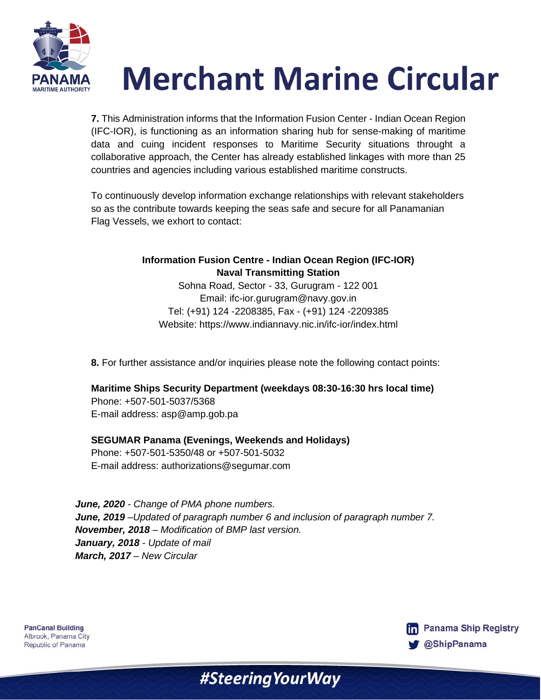

# **Merchant Marine Circular**

**7.** This Administration informs that the Information Fusion Center - Indian Ocean Region (IFC-IOR), is functioning as an information sharing hub for sense-making of maritime data and cuing incident responses to Maritime Security situations throught a collaborative approach, the Center has already established linkages with more than 25 countries and agencies including various established maritime constructs.

To continuously develop information exchange relationships with relevant stakeholders so as the contribute towards keeping the seas safe and secure for all Panamanian Flag Vessels, we exhort to contact:

## **Information Fusion Centre - Indian Ocean Region (IFC-IOR) Naval Transmitting Station**

Sohna Road, Sector - 33, Gurugram - 122 001 Email: ifc-ior.gurugram@navy.gov.in Tel: (+91) 124 -2208385, Fax - (+91) 124 -2209385 Website: https://www.indiannavy.nic.in/ifc-ior/index.html

**8.** For further assistance and/or inquiries please note the following contact points:

### **Maritime Ships Security Department (weekdays 08:30-16:30 hrs local time)**

Phone: +507-501-5037/5368 E-mail address: asp@amp.gob.pa

### **SEGUMAR Panama (Evenings, Weekends and Holidays)**

Phone: +507-501-5350/48 or +507-501-5032 E-mail address: authorizations@segumar.com

*June, 2020 - Change of PMA phone numbers. June, 2019 –Updated of paragraph number 6 and inclusion of paragraph number 7. November, 2018 – Modification of BMP last version. January, 2018 - Update of mail March, 2017 – New Circular*

**PanCanal Building** Albrook, Panama City Republic of Panama



# #Steering Your Way